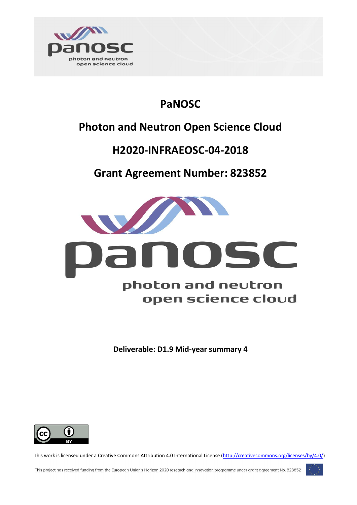

## **PaNOSC**

## **Photon and Neutron Open Science Cloud**

## **H2020-INFRAEOSC-04-2018**

### **Grant Agreement Number: 823852**



**Deliverable: D1.9 Mid-year summary 4**



This work is licensed under a Creative Commons Attribution 4.0 International License [\(http://creativecommons.org/licenses/by/4.0/\)](http://creativecommons.org/licenses/by/4.0/)

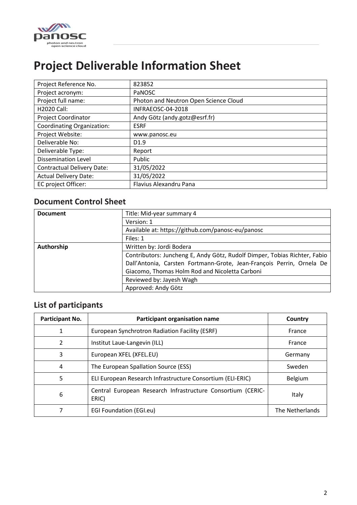

## <span id="page-1-0"></span>**Project Deliverable Information Sheet**

| Project Reference No.             | 823852                                |
|-----------------------------------|---------------------------------------|
| Project acronym:                  | PaNOSC                                |
| Project full name:                | Photon and Neutron Open Science Cloud |
| <b>H2020 Call:</b>                | INFRAEOSC-04-2018                     |
| <b>Project Coordinator</b>        | Andy Götz (andy.gotz@esrf.fr)         |
| <b>Coordinating Organization:</b> | <b>ESRF</b>                           |
| Project Website:                  | www.panosc.eu                         |
| Deliverable No:                   | D <sub>1.9</sub>                      |
| Deliverable Type:                 | Report                                |
| <b>Dissemination Level</b>        | Public                                |
| <b>Contractual Delivery Date:</b> | 31/05/2022                            |
| <b>Actual Delivery Date:</b>      | 31/05/2022                            |
| EC project Officer:               | Flavius Alexandru Pana                |

### <span id="page-1-1"></span>**Document Control Sheet**

| <b>Document</b> | Title: Mid-year summary 4                                                 |
|-----------------|---------------------------------------------------------------------------|
|                 | Version: 1                                                                |
|                 | Available at: https://github.com/panosc-eu/panosc                         |
|                 | Files: 1                                                                  |
| Authorship      | Written by: Jordi Bodera                                                  |
|                 | Contributors: Juncheng E, Andy Götz, Rudolf Dimper, Tobias Richter, Fabio |
|                 | Dall'Antonia, Carsten Fortmann-Grote, Jean-François Perrin, Ornela De     |
|                 | Giacomo, Thomas Holm Rod and Nicoletta Carboni                            |
|                 | Reviewed by: Jayesh Wagh                                                  |
|                 | Approved: Andy Götz                                                       |

### <span id="page-1-2"></span>**List of participants**

| Participant No. | Participant organisation name                                        | Country         |
|-----------------|----------------------------------------------------------------------|-----------------|
| 1               | European Synchrotron Radiation Facility (ESRF)                       | France          |
| 2               | Institut Laue-Langevin (ILL)                                         | France          |
| 3               | European XFEL (XFEL.EU)                                              | Germany         |
| 4               | The European Spallation Source (ESS)                                 | Sweden          |
| 5               | ELI European Research Infrastructure Consortium (ELI-ERIC)           | Belgium         |
| 6               | Central European Research Infrastructure Consortium (CERIC-<br>ERIC) | Italy           |
|                 | <b>EGI Foundation (EGI.eu)</b>                                       | The Netherlands |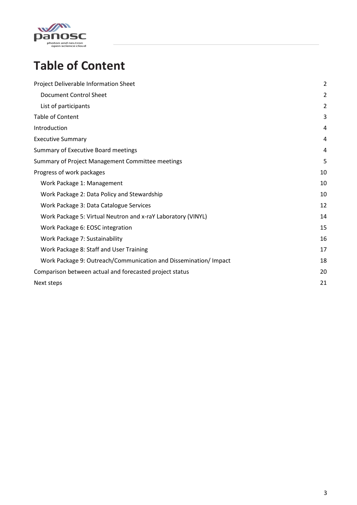

## <span id="page-2-0"></span>**Table of Content**

| Project Deliverable Information Sheet                            | $\overline{\mathbf{c}}$ |
|------------------------------------------------------------------|-------------------------|
| Document Control Sheet                                           | $\overline{a}$          |
| List of participants                                             | 2                       |
| <b>Table of Content</b>                                          | 3                       |
| Introduction                                                     | 4                       |
| <b>Executive Summary</b>                                         | 4                       |
| Summary of Executive Board meetings                              | 4                       |
| Summary of Project Management Committee meetings                 | 5                       |
| Progress of work packages                                        | 10                      |
| Work Package 1: Management                                       | 10                      |
| Work Package 2: Data Policy and Stewardship                      | 10                      |
| Work Package 3: Data Catalogue Services                          | 12                      |
| Work Package 5: Virtual Neutron and x-raY Laboratory (VINYL)     | 14                      |
| Work Package 6: EOSC integration                                 | 15                      |
| Work Package 7: Sustainability                                   | 16                      |
| Work Package 8: Staff and User Training                          | 17                      |
| Work Package 9: Outreach/Communication and Dissemination/ Impact | 18                      |
| Comparison between actual and forecasted project status          | 20                      |
| Next steps                                                       | 21                      |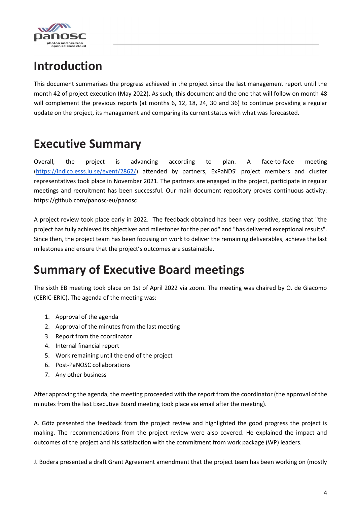

## <span id="page-3-0"></span>**Introduction**

This document summarises the progress achieved in the project since the last management report until the month 42 of project execution (May 2022). As such, this document and the one that will follow on month 48 will complement the previous reports (at months 6, 12, 18, 24, 30 and 36) to continue providing a regular update on the project, its management and comparing its current status with what was forecasted.

## <span id="page-3-1"></span>**Executive Summary**

Overall, the project is advancing according to plan. A face-to-face meeting [\(https://indico.esss.lu.se/event/2862/\)](https://indico.esss.lu.se/event/2862/) attended by partners, ExPaNDS' project members and cluster representatives took place in November 2021. The partners are engaged in the project, participate in regular meetings and recruitment has been successful. Our main document repository proves continuous activity: https://github.com/panosc-eu/panosc

A project review took place early in 2022. The feedback obtained has been very positive, stating that "the project has fully achieved its objectives and milestones for the period" and "has delivered exceptional results". Since then, the project team has been focusing on work to deliver the remaining deliverables, achieve the last milestones and ensure that the project's outcomes are sustainable.

## <span id="page-3-2"></span>**Summary of Executive Board meetings**

The sixth EB meeting took place on 1st of April 2022 via zoom. The meeting was chaired by O. de Giacomo (CERIC-ERIC). The agenda of the meeting was:

- 1. Approval of the agenda
- 2. Approval of the minutes from the last meeting
- 3. Report from the coordinator
- 4. Internal financial report
- 5. Work remaining until the end of the project
- 6. Post-PaNOSC collaborations
- 7. Any other business

After approving the agenda, the meeting proceeded with the report from the coordinator (the approval of the minutes from the last Executive Board meeting took place via email after the meeting).

A. Götz presented the feedback from the project review and highlighted the good progress the project is making. The recommendations from the project review were also covered. He explained the impact and outcomes of the project and his satisfaction with the commitment from work package (WP) leaders.

J. Bodera presented a draft Grant Agreement amendment that the project team has been working on (mostly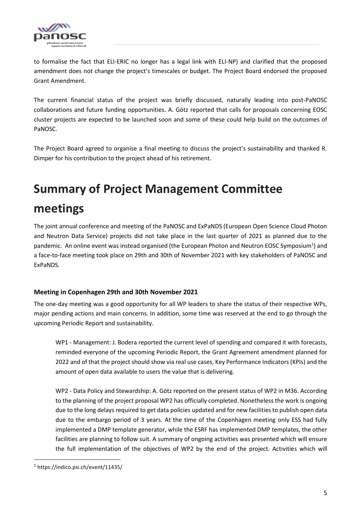

to formalise the fact that ELI-ERIC no longer has a legal link with ELI-NP) and clarified that the proposed amendment does not change the project's timescales or budget. The Project Board endorsed the proposed Grant Amendment.

The current financial status of the project was briefly discussed, naturally leading into post-PaNOSC collaborations and future funding opportunities. A. Götz reported that calls for proposals concerning EOSC cluster projects are expected to be launched soon and some of these could help build on the outcomes of PaNOSC.

The Project Board agreed to organise a final meeting to discuss the project's sustainability and thanked R. Dimper for his contribution to the project ahead of his retirement.

# <span id="page-4-0"></span>**Summary of Project Management Committee meetings**

The joint annual conference and meeting of the PaNOSC and ExPaNDS (European Open Science Cloud Photon and Neutron Data Service) projects did not take place in the last quarter of 2021 as planned due to the pandemic. An online event was instead organised (the European Photon and Neutron EOSC Symposium<sup>1</sup>) and a face-to-face meeting took place on 29th and 30th of November 2021 with key stakeholders of PaNOSC and ExPaNDS.

#### **Meeting in Copenhagen 29th and 30th November 2021**

The one-day meeting was a good opportunity for all WP leaders to share the status of their respective WPs, major pending actions and main concerns. In addition, some time was reserved at the end to go through the upcoming Periodic Report and sustainability.

WP1 - Management: J. Bodera reported the current level of spending and compared it with forecasts, reminded everyone of the upcoming Periodic Report, the Grant Agreement amendment planned for 2022 and of that the project should show via real use cases, Key Performance Indicators (KPIs) and the amount of open data available to users the value that is delivering.

WP2 - Data Policy and Stewardship: A. Götz reported on the present status of WP2 in M36. According to the planning of the project proposal WP2 has officially completed. Nonetheless the work is ongoing due to the long delays required to get data policies updated and for new facilities to publish open data due to the embargo period of 3 years. At the time of the Copenhagen meeting only ESS had fully implemented a DMP template generator, while the ESRF has implemented DMP templates, the other facilities are planning to follow suit. A summary of ongoing activities was presented which will ensure the full implementation of the objectives of WP2 by the end of the project. Activities which will

 $\overline{\phantom{a}}$ 

<sup>1</sup> https://indico.psi.ch/event/11435/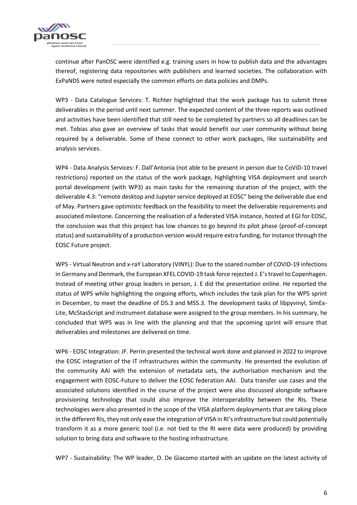

continue after PanOSC were identified e.g. training users in how to publish data and the advantages thereof, registering data repositories with publishers and learned societies. The collaboration with ExPaNDS were noted especially the common efforts on data policies and DMPs.

WP3 - Data Catalogue Services: T. Richter highlighted that the work package has to submit three deliverables in the period until next summer. The expected content of the three reports was outlined and activities have been identified that still need to be completed by partners so all deadlines can be met. Tobias also gave an overview of tasks that would benefit our user community without being required by a deliverable. Some of these connect to other work packages, like sustainability and analysis services.

WP4 - Data Analysis Services: F. Dall'Antonia (not able to be present in person due to CoViD-10 travel restrictions) reported on the status of the work package, highlighting VISA deployment and search portal development (with WP3) as main tasks for the remaining duration of the project, with the deliverable 4.3: "remote desktop and Jupyter service deployed at EOSC" being the deliverable due end of May. Partners gave optimistic feedback on the feasibility to meet the deliverable requirements and associated milestone. Concerning the realisation of a federated VISA instance, hosted at EGI for EOSC, the conclusion was that this project has low chances to go beyond its pilot phase (proof-of-concept status) and sustainability of a production version would require extra funding, for instance through the EOSC Future project.

WP5 - Virtual Neutron and x-raY Laboratory (VINYL): Due to the soared number of COVID-19 infections in Germany and Denmark, the European XFEL COVID-19 task force rejected J. E's travel to Copenhagen. Instead of meeting other group leaders in person, J. E did the presentation online. He reported the status of WP5 while highlighting the ongoing efforts, which includes the task plan for the WP5 sprint in December, to meet the deadline of D5.3 and MS5.3. The development tasks of libpyvinyl, SimEx-Lite, McStasScript and instrument database were assigned to the group members. In his summary, he concluded that WP5 was in line with the planning and that the upcoming sprint will ensure that deliverables and milestones are delivered on time.

WP6 - EOSC Integration: JF. Perrin presented the technical work done and planned in 2022 to improve the EOSC integration of the IT infrastructures within the community. He presented the evolution of the community AAI with the extension of metadata sets, the authorisation mechanism and the engagement with EOSC-Future to deliver the EOSC federation AAI. Data transfer use cases and the associated solutions identified in the course of the project were also discussed alongside software provisioning technology that could also improve the interoperability between the RIs. These technologies were also presented in the scope of the VISA platform deployments that are taking place in the different RIs, they not only ease the integration of VISA in RI's infrastructure but could potentially transform it as a more generic tool (i.e. not tied to the RI were data were produced) by providing solution to bring data and software to the hosting infrastructure.

WP7 - Sustainability: The WP leader, O. De Giacomo started with an update on the latest activity of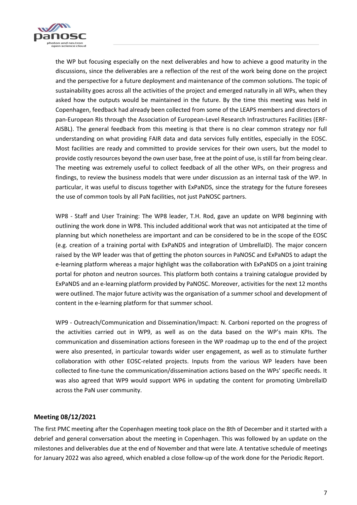

the WP but focusing especially on the next deliverables and how to achieve a good maturity in the discussions, since the deliverables are a reflection of the rest of the work being done on the project and the perspective for a future deployment and maintenance of the common solutions. The topic of sustainability goes across all the activities of the project and emerged naturally in all WPs, when they asked how the outputs would be maintained in the future. By the time this meeting was held in Copenhagen, feedback had already been collected from some of the LEAPS members and directors of pan-European RIs through the Association of European-Level Research Infrastructures Facilities (ERF-AISBL). The general feedback from this meeting is that there is no clear common strategy nor full understanding on what providing FAIR data and data services fully entitles, especially in the EOSC. Most facilities are ready and committed to provide services for their own users, but the model to provide costly resources beyond the own user base, free at the point of use, is still far from being clear. The meeting was extremely useful to collect feedback of all the other WPs, on their progress and findings, to review the business models that were under discussion as an internal task of the WP. In particular, it was useful to discuss together with ExPaNDS, since the strategy for the future foresees the use of common tools by all PaN facilities, not just PaNOSC partners.

WP8 - Staff and User Training: The WP8 leader, T.H. Rod, gave an update on WP8 beginning with outlining the work done in WP8. This included additional work that was not anticipated at the time of planning but which nonetheless are important and can be considered to be in the scope of the EOSC (e.g. creation of a training portal with ExPaNDS and integration of UmbrellaID). The major concern raised by the WP leader was that of getting the photon sources in PaNOSC and ExPaNDS to adapt the e-learning platform whereas a major highlight was the collaboration with ExPaNDS on a joint training portal for photon and neutron sources. This platform both contains a training catalogue provided by ExPaNDS and an e-learning platform provided by PaNOSC. Moreover, activities for the next 12 months were outlined. The major future activity was the organisation of a summer school and development of content in the e-learning platform for that summer school.

WP9 - Outreach/Communication and Dissemination/Impact: N. Carboni reported on the progress of the activities carried out in WP9, as well as on the data based on the WP's main KPIs. The communication and dissemination actions foreseen in the WP roadmap up to the end of the project were also presented, in particular towards wider user engagement, as well as to stimulate further collaboration with other EOSC-related projects. Inputs from the various WP leaders have been collected to fine-tune the communication/dissemination actions based on the WPs' specific needs. It was also agreed that WP9 would support WP6 in updating the content for promoting UmbrellaID across the PaN user community.

#### **Meeting 08/12/2021**

The first PMC meeting after the Copenhagen meeting took place on the 8th of December and it started with a debrief and general conversation about the meeting in Copenhagen. This was followed by an update on the milestones and deliverables due at the end of November and that were late. A tentative schedule of meetings for January 2022 was also agreed, which enabled a close follow-up of the work done for the Periodic Report.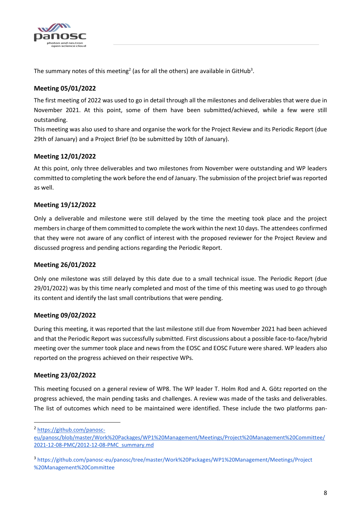

The summary notes of this meeting<sup>2</sup> (as for all the others) are available in GitHub<sup>3</sup>.

#### **Meeting 05/01/2022**

The first meeting of 2022 was used to go in detail through all the milestones and deliverables that were due in November 2021. At this point, some of them have been submitted/achieved, while a few were still outstanding.

This meeting was also used to share and organise the work for the Project Review and its Periodic Report (due 29th of January) and a Project Brief (to be submitted by 10th of January).

#### **Meeting 12/01/2022**

At this point, only three deliverables and two milestones from November were outstanding and WP leaders committed to completing the work before the end of January. The submission of the project brief was reported as well.

#### **Meeting 19/12/2022**

Only a deliverable and milestone were still delayed by the time the meeting took place and the project members in charge of them committed to complete the work within the next 10 days. The attendees confirmed that they were not aware of any conflict of interest with the proposed reviewer for the Project Review and discussed progress and pending actions regarding the Periodic Report.

#### **Meeting 26/01/2022**

Only one milestone was still delayed by this date due to a small technical issue. The Periodic Report (due 29/01/2022) was by this time nearly completed and most of the time of this meeting was used to go through its content and identify the last small contributions that were pending.

#### **Meeting 09/02/2022**

During this meeting, it was reported that the last milestone still due from November 2021 had been achieved and that the Periodic Report was successfully submitted. First discussions about a possible face-to-face/hybrid meeting over the summer took place and news from the EOSC and EOSC Future were shared. WP leaders also reported on the progress achieved on their respective WPs.

#### **Meeting 23/02/2022**

This meeting focused on a general review of WP8. The WP leader T. Holm Rod and A. Götz reported on the progress achieved, the main pending tasks and challenges. A review was made of the tasks and deliverables. The list of outcomes which need to be maintained were identified. These include the two platforms pan-

<sup>2</sup> [https://github.com/panosc-](https://github.com/panosc-eu/panosc/blob/master/Work%20Packages/WP1%20Management/Meetings/Project%20Management%20Committee/2021-12-08-PMC/2012-12-08-PMC_summary.md)

 $\overline{a}$ 

[eu/panosc/blob/master/Work%20Packages/WP1%20Management/Meetings/Project%20Management%20Committee/](https://github.com/panosc-eu/panosc/blob/master/Work%20Packages/WP1%20Management/Meetings/Project%20Management%20Committee/2021-12-08-PMC/2012-12-08-PMC_summary.md) [2021-12-08-PMC/2012-12-08-PMC\\_summary.md](https://github.com/panosc-eu/panosc/blob/master/Work%20Packages/WP1%20Management/Meetings/Project%20Management%20Committee/2021-12-08-PMC/2012-12-08-PMC_summary.md)

<sup>3</sup> [https://github.com/panosc-eu/panosc/tree/master/Work%20Packages/WP1%20Management/Meetings/Project](https://github.com/panosc-eu/panosc/tree/master/Work%20Packages/WP1%20Management/Meetings/Project%20Management%20Committee) [%20Management%20Committee](https://github.com/panosc-eu/panosc/tree/master/Work%20Packages/WP1%20Management/Meetings/Project%20Management%20Committee)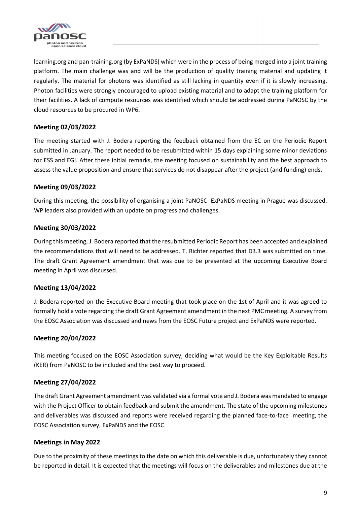

learning.org and pan-training.org (by ExPaNDS) which were in the process of being merged into a joint training platform. The main challenge was and will be the production of quality training material and updating it regularly. The material for photons was identified as still lacking in quantity even if it is slowly increasing. Photon facilities were strongly encouraged to upload existing material and to adapt the training platform for their facilities. A lack of compute resources was identified which should be addressed during PaNOSC by the cloud resources to be procured in WP6.

#### **Meeting 02/03/2022**

The meeting started with J. Bodera reporting the feedback obtained from the EC on the Periodic Report submitted in January. The report needed to be resubmitted within 15 days explaining some minor deviations for ESS and EGI. After these initial remarks, the meeting focused on sustainability and the best approach to assess the value proposition and ensure that services do not disappear after the project (and funding) ends.

#### **Meeting 09/03/2022**

During this meeting, the possibility of organising a joint PaNOSC- ExPaNDS meeting in Prague was discussed. WP leaders also provided with an update on progress and challenges.

#### **Meeting 30/03/2022**

During this meeting, J. Bodera reported that the resubmitted Periodic Report has been accepted and explained the recommendations that will need to be addressed. T. Richter reported that D3.3 was submitted on time. The draft Grant Agreement amendment that was due to be presented at the upcoming Executive Board meeting in April was discussed.

#### **Meeting 13/04/2022**

J. Bodera reported on the Executive Board meeting that took place on the 1st of April and it was agreed to formally hold a vote regarding the draft Grant Agreement amendment in the next PMC meeting. A survey from the EOSC Association was discussed and news from the EOSC Future project and ExPaNDS were reported.

#### **Meeting 20/04/2022**

This meeting focused on the EOSC Association survey, deciding what would be the Key Exploitable Results (KER) from PaNOSC to be included and the best way to proceed.

#### **Meeting 27/04/2022**

The draft Grant Agreement amendment was validated via a formal vote and J. Bodera was mandated to engage with the Project Officer to obtain feedback and submit the amendment. The state of the upcoming milestones and deliverables was discussed and reports were received regarding the planned face-to-face meeting, the EOSC Association survey, ExPaNDS and the EOSC.

#### **Meetings in May 2022**

Due to the proximity of these meetings to the date on which this deliverable is due, unfortunately they cannot be reported in detail. It is expected that the meetings will focus on the deliverables and milestones due at the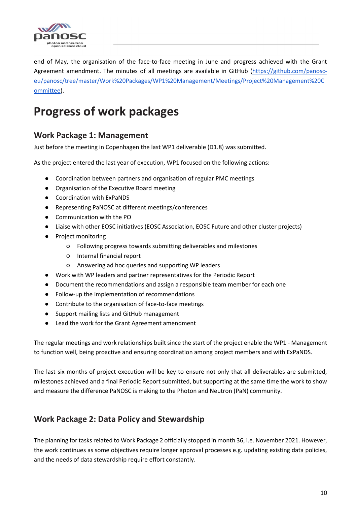

end of May, the organisation of the face-to-face meeting in June and progress achieved with the Grant Agreement amendment. The minutes of all meetings are available in GitHub [\(https://github.com/panosc](https://github.com/panosc-eu/panosc/tree/master/Work%20Packages/WP1%20Management/Meetings/Project%20Management%20Committee)[eu/panosc/tree/master/Work%20Packages/WP1%20Management/Meetings/Project%20Management%20C](https://github.com/panosc-eu/panosc/tree/master/Work%20Packages/WP1%20Management/Meetings/Project%20Management%20Committee) [ommittee\)](https://github.com/panosc-eu/panosc/tree/master/Work%20Packages/WP1%20Management/Meetings/Project%20Management%20Committee).

## <span id="page-9-0"></span>**Progress of work packages**

### <span id="page-9-1"></span>**Work Package 1: Management**

Just before the meeting in Copenhagen the last WP1 deliverable (D1.8) was submitted.

As the project entered the last year of execution, WP1 focused on the following actions:

- Coordination between partners and organisation of regular PMC meetings
- Organisation of the Executive Board meeting
- Coordination with ExPaNDS
- Representing PaNOSC at different meetings/conferences
- Communication with the PO
- Liaise with other EOSC initiatives (EOSC Association, EOSC Future and other cluster projects)
- Project monitoring
	- Following progress towards submitting deliverables and milestones
	- Internal financial report
	- Answering ad hoc queries and supporting WP leaders
- Work with WP leaders and partner representatives for the Periodic Report
- Document the recommendations and assign a responsible team member for each one
- Follow-up the implementation of recommendations
- Contribute to the organisation of face-to-face meetings
- Support mailing lists and GitHub management
- Lead the work for the Grant Agreement amendment

The regular meetings and work relationships built since the start of the project enable the WP1 - Management to function well, being proactive and ensuring coordination among project members and with ExPaNDS.

The last six months of project execution will be key to ensure not only that all deliverables are submitted, milestones achieved and a final Periodic Report submitted, but supporting at the same time the work to show and measure the difference PaNOSC is making to the Photon and Neutron (PaN) community.

### <span id="page-9-2"></span>**Work Package 2: Data Policy and Stewardship**

The planning for tasks related to Work Package 2 officially stopped in month 36, i.e. November 2021. However, the work continues as some objectives require longer approval processes e.g. updating existing data policies, and the needs of data stewardship require effort constantly.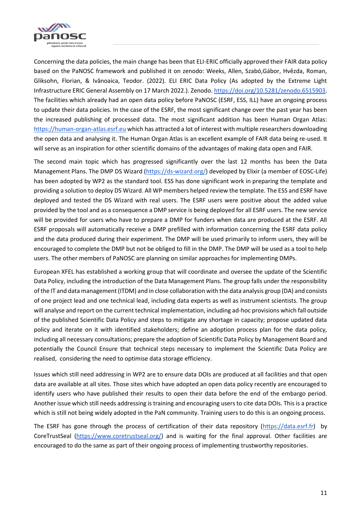

Concerning the data policies, the main change has been that ELI-ERIC officially approved their FAIR data policy based on the PaNOSC framework and published it on zenodo: Weeks, Allen, Szabó,Gábor, Hvězda, Roman, Gliksohn, Florian, & Ivănoaica, Teodor. (2022). ELI ERIC Data Policy (As adopted by the Extreme Light Infrastructure ERIC General Assembly on 17 March 2022.). Zenodo. [https://doi.org/10.5281/zenodo.6515903.](https://doi.org/10.5281/zenodo.6515903) The facilities which already had an open data policy before PaNOSC (ESRF, ESS, ILL) have an ongoing process to update their data policies. In the case of the ESRF, the most significant change over the past year has been the increased publishing of processed data. The most significant addition has been Human Organ Atlas: [https://human-organ-atlas.esrf.eu](https://human-organ-atlas.esrf.eu/) which has attracted a lot of interest with multiple researchers downloading the open data and analysing it. The Human Organ Atlas is an excellent example of FAIR data being re-used. It will serve as an inspiration for other scientific domains of the advantages of making data open and FAIR.

The second main topic which has progressed significantly over the last 12 months has been the Data Management Plans. The DMP DS Wizard [\(https://ds-wizard.org/\)](https://ds-wizard.org/) developed by Elixir (a member of EOSC-Life) has been adopted by WP2 as the standard tool. ESS has done significant work in preparing the template and providing a solution to deploy DS Wizard. All WP members helped review the template. The ESS and ESRF have deployed and tested the DS Wizard with real users. The ESRF users were positive about the added value provided by the tool and as a consequence a DMP service is being deployed for all ESRF users. The new service will be provided for users who have to prepare a DMP for funders when data are produced at the ESRF. All ESRF proposals will automatically receive a DMP prefilled with information concerning the ESRF data policy and the data produced during their experiment. The DMP will be used primarily to inform users, they will be encouraged to complete the DMP but not be obliged to fill in the DMP. The DMP will be used as a tool to help users. The other members of PaNOSC are planning on similar approaches for implementing DMPs.

European XFEL has established a working group that will coordinate and oversee the update of the Scientific Data Policy, including the introduction of the Data Management Plans. The group falls under the responsibility of the IT and data management (ITDM) and in close collaboration with the data analysis group (DA) and consists of one project lead and one technical lead, including data experts as well as instrument scientists. The group will analyse and report on the current technical implementation, including ad-hoc provisions which fall outside of the published Scientific Data Policy and steps to mitigate any shortage in capacity; propose updated data policy and iterate on it with identified stakeholders; define an adoption process plan for the data policy, including all necessary consultations; prepare the adoption of Scientific Data Policy by Management Board and potentially the Council Ensure that technical steps necessary to implement the Scientific Data Policy are realised, considering the need to optimise data storage efficiency.

Issues which still need addressing in WP2 are to ensure data DOIs are produced at all facilities and that open data are available at all sites. Those sites which have adopted an open data policy recently are encouraged to identify users who have published their results to open their data before the end of the embargo period. Another issue which still needs addressing is training and encouraging users to cite data DOIs. This is a practice which is still not being widely adopted in the PaN community. Training users to do this is an ongoing process.

<span id="page-10-0"></span>The ESRF has gone through the process of certification of their data repository [\(https://data.esrf.fr\)](https://data.esrf.fr/) by CoreTrustSeal [\(https://www.coretrustseal.org/\)](https://www.coretrustseal.org/) and is waiting for the final approval. Other facilities are encouraged to do the same as part of their ongoing process of implementing trustworthy repositories.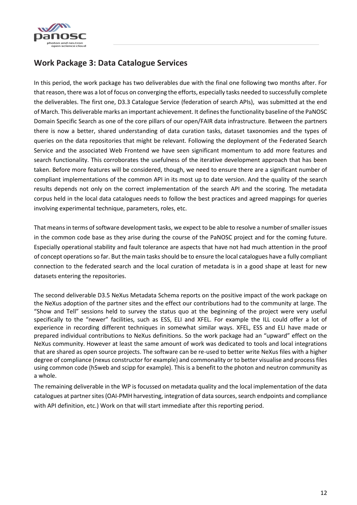

### **Work Package 3: Data Catalogue Services**

In this period, the work package has two deliverables due with the final one following two months after. For that reason, there was a lot of focus on converging the efforts, especially tasks needed to successfully complete the deliverables. The first one, D3.3 Catalogue Service (federation of search APIs), was submitted at the end of March. This deliverable marks an important achievement. It defines the functionality baseline of the PaNOSC Domain Specific Search as one of the core pillars of our open/FAIR data infrastructure. Between the partners there is now a better, shared understanding of data curation tasks, dataset taxonomies and the types of queries on the data repositories that might be relevant. Following the deployment of the Federated Search Service and the associated Web Frontend we have seen significant momentum to add more features and search functionality. This corroborates the usefulness of the iterative development approach that has been taken. Before more features will be considered, though, we need to ensure there are a significant number of compliant implementations of the common API in its most up to date version. And the quality of the search results depends not only on the correct implementation of the search API and the scoring. The metadata corpus held in the local data catalogues needs to follow the best practices and agreed mappings for queries involving experimental technique, parameters, roles, etc.

That means in terms of software development tasks, we expect to be able to resolve a number of smaller issues in the common code base as they arise during the course of the PaNOSC project and for the coming future. Especially operational stability and fault tolerance are aspects that have not had much attention in the proof of concept operations so far. But the main tasks should be to ensure the local catalogues have a fully compliant connection to the federated search and the local curation of metadata is in a good shape at least for new datasets entering the repositories.

The second deliverable D3.5 NeXus Metadata Schema reports on the positive impact of the work package on the NeXus adoption of the partner sites and the effect our contributions had to the community at large. The "Show and Tell" sessions held to survey the status quo at the beginning of the project were very useful specifically to the "newer" facilities, such as ESS, ELI and XFEL. For example the ILL could offer a lot of experience in recording different techniques in somewhat similar ways. XFEL, ESS and ELI have made or prepared individual contributions to NeXus definitions. So the work package had an "upward" effect on the NeXus community. However at least the same amount of work was dedicated to tools and local integrations that are shared as open source projects. The software can be re-used to better write NeXus files with a higher degree of compliance (nexus constructor for example) and commonality or to better visualise and process files using common code (h5web and scipp for example). This is a benefit to the photon and neutron community as a whole.

The remaining deliverable in the WP is focussed on metadata quality and the local implementation of the data catalogues at partner sites (OAI-PMH harvesting, integration of data sources, search endpoints and compliance with API definition, etc.) Work on that will start immediate after this reporting period.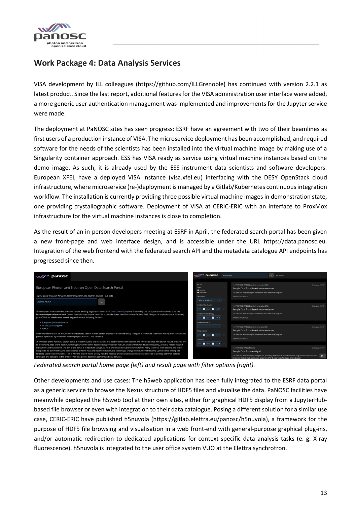

### **Work Package 4: Data Analysis Services**

VISA development by ILL colleagues (https://github.com/ILLGrenoble) has continued with version 2.2.1 as latest product. Since the last report, additional features for the VISA administration user interface were added, a more generic user authentication management was implemented and improvements for the Jupyter service were made.

The deployment at PaNOSC sites has seen progress: ESRF have an agreement with two of their beamlines as first users of a production instance of VISA. The microservice deployment has been accomplished, and required software for the needs of the scientists has been installed into the virtual machine image by making use of a Singularity container approach. ESS has VISA ready as service using virtual machine instances based on the demo image. As such, it is already used by the ESS instrument data scientists and software developers. European XFEL have a deployed VISA instance (visa.xfel.eu) interfacing with the DESY OpenStack cloud infrastructure, where microservice (re-)deployment is managed by a Gitlab/Kubernetes continuous integration workflow. The installation is currently providing three possible virtual machine images in demonstration state, one providing crystallographic software. Deployment of VISA at CERIC-ERIC with an interface to ProxMox infrastructure for the virtual machine instances is close to completion.

As the result of an in-person developers meeting at ESRF in April, the federated search portal has been given a new front-page and web interface design, and is accessible under the URL https://data.panosc.eu. Integration of the web frontend with the federated search API and the metadata catalogue API endpoints has progressed since then.

| panosc                                                                                                                                                                                                                                                                                                                                                                                                                                                                                                                                                                                                                                                                                                                                                                                                                                                                                                                  | <b>WAN</b> panosc                                                                                                                | Q 50+ results<br>sample beam                                                                                                                                                                                                                                                                                  |
|-------------------------------------------------------------------------------------------------------------------------------------------------------------------------------------------------------------------------------------------------------------------------------------------------------------------------------------------------------------------------------------------------------------------------------------------------------------------------------------------------------------------------------------------------------------------------------------------------------------------------------------------------------------------------------------------------------------------------------------------------------------------------------------------------------------------------------------------------------------------------------------------------------------------------|----------------------------------------------------------------------------------------------------------------------------------|---------------------------------------------------------------------------------------------------------------------------------------------------------------------------------------------------------------------------------------------------------------------------------------------------------------|
| European Photon and Neutron Open Data Search Portal<br>Type a query to search for open data from photon and neutron sources - e.g. data<br>diffraction<br>$\Omega$                                                                                                                                                                                                                                                                                                                                                                                                                                                                                                                                                                                                                                                                                                                                                      | <b>FILTER</b><br>Type<br>$\bullet$ proposal<br>· publication<br>Technique<br>Select a technique.                                 | 10.17199/BRIGHTNESS/BeamInstrumentation0003<br>Relevancy = 0.798<br>Sample Data from BeamInstrumentation<br>This data was collected as part of the beam instrumentation program<br>Released: 05/21/2022                                                                                                       |
| The European Photon and Neutron sources are working together in the PaNOSC and ExPaNDS projects financed by the European Commission to build the<br>European Open Science Cloud. One of the main objectives of the EOSC is to make Open Data from these facilities FAIR. This portal implements the F(indable)<br>part of FAIR via a federated search engine from the following facilities:                                                                                                                                                                                                                                                                                                                                                                                                                                                                                                                             | Incident Wavelength<br>Imax ■ Imm<br>н<br>Incident Photon Energy<br>$\left \cos\left(\frac{\pi}{2}\right)\right $ eV $\tau$<br>н | 10.17199/BRIGHTNESS/BeamInstrumentation0002<br>Relevancy = 0.798<br>Sample Data from BeamInstrumentation<br>This data was collected as part of the beam instrumentation program<br>Released: 05/21/2022                                                                                                       |
| <b>European Spallation Source</b><br>· Institut Laue Langevin<br>- MAX IV<br>Additional facilities will be included in the federated search as their search engines come online locally. The goal is to include all photon and neutron facilites who<br>provide open data by the end of the two projects PaNOSC and ExPaNDS.                                                                                                                                                                                                                                                                                                                                                                                                                                                                                                                                                                                            | Chemical Formula<br>Temperature<br>$\max$ $\mathbf{B}$ $\mathbf{K}$ $\mathbf{v}$<br>н                                            | 10.17199/BRIGHTNESS/BeamInstrumentation0001<br>Relevancy = 0.798<br>Sample Data from BeamInstrumentation<br>This data was collected as part of the beam instrumentation program<br>Released: 05/21/2022                                                                                                       |
| The mission of the PaN data search portal is to contribute to the realization of a data commons for Neutron and Photon science. The search results provide a link<br>to the landing page of the data DOIs through which the other data services provided by PaNOSC and ExPaNDS for data downloading, analysis, notebooks and<br>simulation can be accessed. The aim of the portal is to facilitate using data from photon and neutron sources for the many scientists from existing and future<br>disciplines. To achieve this aim, the exchange of know-how and experiences is crucial to driving a change in culture by embracing Open Science among the<br>targeted scientific communities. This is why the project works closely with the national photon and neutron sources in Europe to develop common policies.<br>strategies and solutions in the area of FAIR data policy, data management and data services. | Pressure<br>: Bill Paint                                                                                                         | 10.17199/BRIGHTNESS/MG0032<br>Relevancy = 0.707<br>Sample Data from multigrid<br>This data was collected as part of BrightnESS, funded by the European Union Framework Programme for Research and<br>(7)<br>Innovation Horizon 2020, under grant agreement 676548. It consists of test data for the detector. |

*Federated search portal home page (left) and result page with filter options (right).*

Other developments and use cases: The h5web application has been fully integrated to the ESRF data portal as a generic service to browse the Nexus structure of HDF5 files and visualise the data. PaNOSC facilities have meanwhile deployed the h5web tool at their own sites, either for graphical HDF5 display from a JupyterHubbased file browser or even with integration to their data catalogue. Posing a different solution for a similar use case, CERIC-ERIC have published h5nuvola (https://gitlab.elettra.eu/panosc/h5nuvola), a framework for the purpose of HDF5 file browsing and visualisation in a web front-end with general-purpose graphical plug-ins, and/or automatic redirection to dedicated applications for context-specific data analysis tasks (e. g. X-ray fluorescence). h5nuvola is integrated to the user office system VUO at the Elettra synchrotron.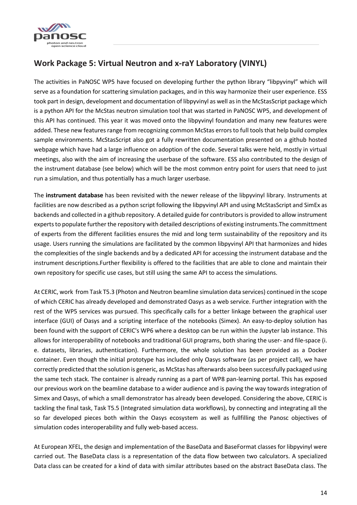

### <span id="page-13-0"></span>**Work Package 5: Virtual Neutron and x-raY Laboratory (VINYL)**

The activities in PaNOSC WP5 have focused on developing further the python library "libpyvinyl" which will serve as a foundation for scattering simulation packages, and in this way harmonize their user experience. ESS took part in design, development and documentation of libpyvinyl as well as in the McStasScript package which is a python API for the McStas neutron simulation tool that was started in PaNOSC WP5, and development of this API has continued. This year it was moved onto the libpyvinyl foundation and many new features were added. These new features range from recognizing common McStas errors to full tools that help build complex sample environments. McStasScript also got a fully rewritten documentation presented on a github hosted webpage which have had a large influence on adoption of the code. Several talks were held, mostly in virtual meetings, also with the aim of increasing the userbase of the software. ESS also contributed to the design of the instrument database (see below) which will be the most common entry point for users that need to just run a simulation, and thus potentially has a much larger userbase.

The **instrument database** has been revisited with the newer release of the libpyvinyl library. Instruments at facilities are now described as a python script following the libpyvinyl API and using McStasScript and SimEx as backends and collected in a github repository. A detailed guide for contributors is provided to allow instrument experts to populate further the repository with detailed descriptions of existing instruments.The committment of experts from the different facilities ensures the mid and long term sustainability of the repository and its usage. Users running the simulations are facilitated by the common libpyvinyl API that harmonizes and hides the complexities of the single backends and by a dedicated API for accessing the instrument database and the instrument descriptions.Further flexibility is offered to the facilities that are able to clone and maintain their own repository for specific use cases, but still using the same API to access the simulations.

At CERIC, work from Task T5.3 (Photon and Neutron beamline simulation data services) continued in the scope of which CERIC has already developed and demonstrated Oasys as a web service. Further integration with the rest of the WP5 services was pursued. This specifically calls for a better linkage between the graphical user interface (GUI) of Oasys and a scripting interface of the notebooks (Simex). An easy-to-deploy solution has been found with the support of CERIC's WP6 where a desktop can be run within the Jupyter lab instance. This allows for interoperability of notebooks and traditional GUI programs, both sharing the user- and file-space (i. e. datasets, libraries, authentication). Furthermore, the whole solution has been provided as a Docker container. Even though the initial prototype has included only Oasys software (as per project call), we have correctly predicted that the solution is generic, as McStas has afterwards also been successfully packaged using the same tech stack. The container is already running as a part of WP8 pan-learning portal. This has exposed our previous work on the beamline database to a wider audience and is paving the way towards integration of Simex and Oasys, of which a small demonstrator has already been developed. Considering the above, CERIC is tackling the final task, Task T5.5 (Integrated simulation data workflows), by connecting and integrating all the so far developed pieces both within the Oasys ecosystem as well as fullfilling the Panosc objectives of simulation codes interoperability and fully web-based access.

At European XFEL, the design and implementation of the BaseData and BaseFormat classes for libpyvinyl were carried out. The BaseData class is a representation of the data flow between two calculators. A specialized Data class can be created for a kind of data with similar attributes based on the abstract BaseData class. The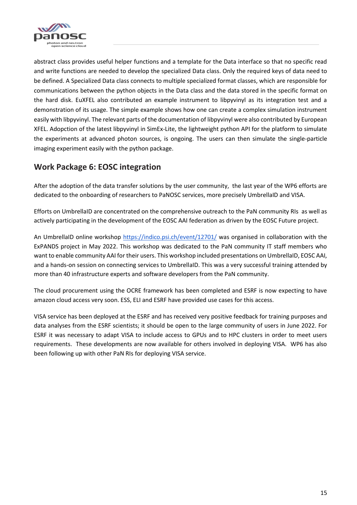

abstract class provides useful helper functions and a template for the Data interface so that no specific read and write functions are needed to develop the specialized Data class. Only the required keys of data need to be defined. A Specialized Data class connects to multiple specialized format classes, which are responsible for communications between the python objects in the Data class and the data stored in the specific format on the hard disk. EuXFEL also contributed an example instrument to libpyvinyl as its integration test and a demonstration of its usage. The simple example shows how one can create a complex simulation instrument easily with libpyvinyl. The relevant parts of the documentation of libpyvinyl were also contributed by European XFEL. Adopction of the latest libpyvinyl in SimEx-Lite, the lightweight python API for the platform to simulate the experiments at advanced photon sources, is ongoing. The users can then simulate the single-particle imaging experiment easily with the python package.

### <span id="page-14-0"></span>**Work Package 6: EOSC integration**

After the adoption of the data transfer solutions by the user community, the last year of the WP6 efforts are dedicated to the onboarding of researchers to PaNOSC services, more precisely UmbrellaID and VISA.

Efforts on UmbrellaID are concentrated on the comprehensive outreach to the PaN community RIs as well as actively participating in the development of the EOSC AAI federation as driven by the EOSC Future project.

An UmbrellaID online workshop<https://indico.psi.ch/event/12701/> was organised in collaboration with the ExPANDS project in May 2022. This workshop was dedicated to the PaN community IT staff members who want to enable community AAI for their users. This workshop included presentations on UmbrellaID, EOSC AAI, and a hands-on session on connecting services to UmbrellaID. This was a very successful training attended by more than 40 infrastructure experts and software developers from the PaN community.

The cloud procurement using the OCRE framework has been completed and ESRF is now expecting to have amazon cloud access very soon. ESS, ELI and ESRF have provided use cases for this access.

VISA service has been deployed at the ESRF and has received very positive feedback for training purposes and data analyses from the ESRF scientists; it should be open to the large community of users in June 2022. For ESRF it was necessary to adapt VISA to include access to GPUs and to HPC clusters in order to meet users requirements. These developments are now available for others involved in deploying VISA. WP6 has also been following up with other PaN RIs for deploying VISA service.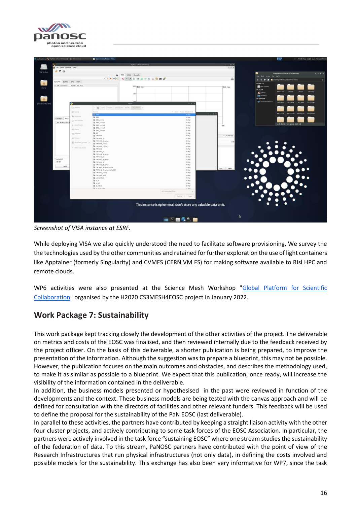



*Screenshot of VISA instance at ESRF.*

While deploying VISA we also quickly understood the need to facilitate software provisioning, We survey the the technologies used by the other communities and retained for further exploration the use of light containers like Apptainer (formerly Singularity) and CVMFS (CERN VM FS) for making software available to RIsl HPC and remote clouds.

WP6 activities were also presented at the Science Mesh Workshop ["Global Platform for Scientific](https://cs3mesh4eosc.eu/news-events/events/science-mesh-workshop-science-mesh-global-platform-scientific-collaboration)  [Collaboration"](https://cs3mesh4eosc.eu/news-events/events/science-mesh-workshop-science-mesh-global-platform-scientific-collaboration) organised by the H2020 CS3MESH4EOSC project in January 2022.

### <span id="page-15-0"></span>**Work Package 7: Sustainability**

This work package kept tracking closely the development of the other activities of the project. The deliverable on metrics and costs of the EOSC was finalised, and then reviewed internally due to the feedback received by the project officer. On the basis of this deliverable, a shorter publication is being prepared, to improve the presentation of the information. Although the suggestion was to prepare a blueprint, this may not be possible. However, the publication focuses on the main outcomes and obstacles, and describes the methodology used, to make it as similar as possible to a blueprint. We expect that this publication, once ready, will increase the visibility of the information contained in the deliverable.

In addition, the business models presented or hypothesised in the past were reviewed in function of the developments and the context. These business models are being tested with the canvas approach and will be defined for consultation with the directors of facilities and other relevant funders. This feedback will be used to define the proposal for the sustainability of the PaN EOSC (last deliverable).

In parallel to these activities, the partners have contributed by keeping a straight liaison activity with the other four cluster projects, and actively contributing to some task forces of the EOSC Association. In particular, the partners were actively involved in the task force "sustaining EOSC" where one stream studies the sustainability of the federation of data. To this stream, PaNOSC partners have contributed with the point of view of the Research Infrastructures that run physical infrastructures (not only data), in defining the costs involved and possible models for the sustainability. This exchange has also been very informative for WP7, since the task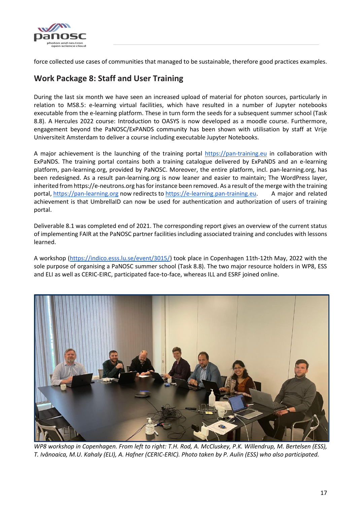

force collected use cases of communities that managed to be sustainable, therefore good practices examples.

### <span id="page-16-0"></span>**Work Package 8: Staff and User Training**

During the last six month we have seen an increased upload of material for photon sources, particularly in relation to MS8.5: e-learning virtual facilities, which have resulted in a number of Jupyter notebooks executable from the e-learning platform. These in turn form the seeds for a subsequent summer school (Task 8.8). A Hercules 2022 course: Introduction to OASYS is now developed as a moodle course. Furthermore, engagement beyond the PaNOSC/ExPANDS community has been shown with utilisation by staff at Vrije Universiteit Amsterdam to deliver a course including executable Jupyter Notebooks.

A major achievement is the launching of the training portal [https://pan-training.eu](https://pan-training.eu/) in collaboration with ExPaNDS. The training portal contains both a training catalogue delivered by ExPaNDS and an e-learning platform, pan-learning.org, provided by PaNOSC. Moreover, the entire platform, incl. pan-learning.org, has been redesigned. As a result pan-learning.org is now leaner and easier to maintain; The WordPress layer, inherited from https://e-neutrons.org has for instance been removed. As a result of the merge with the training portal, [https://pan-learning.org](https://pan-learning.org/) now redirects to [https://e-learning.pan-training.eu.](https://e-learning.pan-training.eu/) A major and related achievement is that UmbrellaID can now be used for authentication and authorization of users of training portal.

Deliverable 8.1 was completed end of 2021. The corresponding report gives an overview of the current status of implementing FAIR at the PaNOSC partner facilities including associated training and concludes with lessons learned.

A workshop [\(https://indico.esss.lu.se/event/3015/\)](https://indico.esss.lu.se/event/3015/) took place in Copenhagen 11th-12th May, 2022 with the sole purpose of organising a PaNOSC summer school (Task 8.8). The two major resource holders in WP8, ESS and ELI as well as CERIC-EIRC, participated face-to-face, whereas ILL and ESRF joined online.



*WP8 workshop in Copenhagen. From left to right: T.H. Rod, A. McCluskey, P.K. Willendrup, M. Bertelsen (ESS), T. Ivănoaica, M.U. Kahaly (ELI), A. Hafner (CERIC-ERIC). Photo taken by P. Aulin (ESS) who also participated.*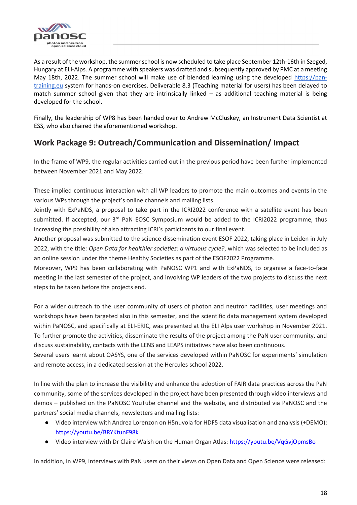

As a result of the workshop, the summer school is now scheduled to take place September 12th-16th in Szeged, Hungary at ELI-Alps. A programme with speakers was drafted and subsequently approved by PMC at a meeting May 18th, 2022. The summer school will make use of blended learning using the developed [https://pan](https://pan-training.eu/)[training.eu](https://pan-training.eu/) system for hands-on exercises. Deliverable 8.3 (Teaching material for users) has been delayed to match summer school given that they are intrinsically linked – as additional teaching material is being developed for the school.

Finally, the leadership of WP8 has been handed over to Andrew McCluskey, an Instrument Data Scientist at ESS, who also chaired the aforementioned workshop.

### <span id="page-17-0"></span>**Work Package 9: Outreach/Communication and Dissemination/ Impact**

In the frame of WP9, the regular activities carried out in the previous period have been further implemented between November 2021 and May 2022.

These implied continuous interaction with all WP leaders to promote the main outcomes and events in the various WPs through the project's online channels and mailing lists.

Jointly with ExPaNDS, a proposal to take part in the ICRI2022 conference with a satellite event has been submitted. If accepted, our 3<sup>rd</sup> PaN EOSC Symposium would be added to the ICRI2022 programme, thus increasing the possibility of also attracting ICRI's participants to our final event.

Another proposal was submitted to the science dissemination event ESOF 2022, taking place in Leiden in July 2022, with the title: *Open Data for healthier societies: a virtuous cycle?*, which was selected to be included as an online session under the theme Healthy Societies as part of the ESOF2022 Programme.

Moreover, WP9 has been collaborating with PaNOSC WP1 and with ExPaNDS, to organise a face-to-face meeting in the last semester of the project, and involving WP leaders of the two projects to discuss the next steps to be taken before the projects end.

For a wider outreach to the user community of users of photon and neutron facilities, user meetings and workshops have been targeted also in this semester, and the scientific data management system developed within PaNOSC, and specifically at ELI-ERIC, was presented at the ELI Alps user workshop in November 2021. To further promote the activities, disseminate the results of the project among the PaN user community, and discuss sustainability, contacts with the LENS and LEAPS initiatives have also been continuous.

Several users learnt about OASYS, one of the services developed within PaNOSC for experiments' simulation and remote access, in a dedicated session at the Hercules school 2022.

In line with the plan to increase the visibility and enhance the adoption of FAIR data practices across the PaN community, some of the services developed in the project have been presented through video interviews and demos – published on the PaNOSC YouTube channel and the website, and distributed via PaNOSC and the partners' social media channels, newsletters and mailing lists:

- Video interview with Andrea Lorenzon on H5nuvola for HDF5 data visualisation and analysis (+DEMO)[:](https://youtu.be/BRYKtunF98k) <https://youtu.be/BRYKtunF98k>
- Video interview with Dr Claire Walsh on the Human Organ Atlas[:](https://youtu.be/VqGvjOpmsBo) <https://youtu.be/VqGvjOpmsBo>

In addition, in WP9, interviews with PaN users on their views on Open Data and Open Science were released: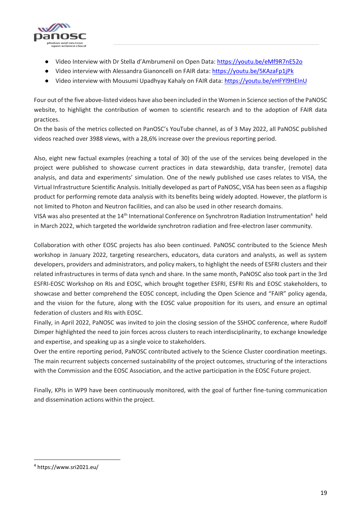

- Video Interview with Dr Stella d'Ambrumenil on Open Data[:](https://youtu.be/eMf9R7nE52o) <https://youtu.be/eMf9R7nE52o>
- Video interview with Alessandra Gianoncelli on FAIR data[:](https://youtu.be/5KAzaFp1jPk) <https://youtu.be/5KAzaFp1jPk>
- Video interview with Mousumi Upadhyay Kahaly on FAIR data: <https://youtu.be/eHFYl9HEInU>

Four out of the five above-listed videos have also been included in the Women in Science section of the PaNOSC website, to highlight the contribution of women to scientific research and to the adoption of FAIR data practices.

On the basis of the metrics collected on PanOSC's YouTube channel, as of 3 May 2022, all PaNOSC published videos reached over 3988 views, with a 28,6% increase over the previous reporting period.

Also, eight new factual examples (reaching a total of 30) of the use of the services being developed in the project were published to showcase current practices in data stewardship, data transfer, (remote) data analysis, and data and experiments' simulation. One of the newly published use cases relates to VISA, the Virtual Infrastructure Scientific Analysis. Initially developed as part of PaNOSC, VISA has been seen as a flagship product for performing remote data analysis with its benefits being widely adopted. However, the platform is not limited to Photon and Neutron facilities, and can also be used in other research domains.

VISA was also presented at the 14<sup>th</sup> International Conference on Synchrotron Radiation Instrumentation<sup>4</sup> held in March 2022, which targeted the worldwide synchrotron radiation and free-electron laser community.

Collaboration with other EOSC projects has also been continued. PaNOSC contributed to the Science Mesh workshop in January 2022, targeting researchers, educators, data curators and analysts, as well as system developers, providers and administrators, and policy makers, to highlight the needs of ESFRI clusters and their related infrastructures in terms of data synch and share. In the same month, PaNOSC also took part in the 3rd ESFRI-EOSC Workshop on RIs and EOSC, which brought together ESFRI, ESFRI RIs and EOSC stakeholders, to showcase and better comprehend the EOSC concept, including the Open Science and "FAIR" policy agenda, and the vision for the future, along with the EOSC value proposition for its users, and ensure an optimal federation of clusters and RIs with EOSC.

Finally, in April 2022, PaNOSC was invited to join the closing session of the SSHOC conference, where Rudolf Dimper highlighted the need to join forces across clusters to reach interdisciplinarity, to exchange knowledge and expertise, and speaking up as a single voice to stakeholders.

Over the entire reporting period, PaNOSC contributed actively to the Science Cluster coordination meetings. The main recurrent subjects concerned sustainability of the project outcomes, structuring of the interactions with the Commission and the EOSC Association, and the active participation in the EOSC Future project.

Finally, KPIs in WP9 have been continuously monitored, with the goal of further fine-tuning communication and dissemination actions within the project.

<span id="page-18-0"></span> $\overline{\phantom{a}}$ 

<sup>4</sup> https://www.sri2021.eu/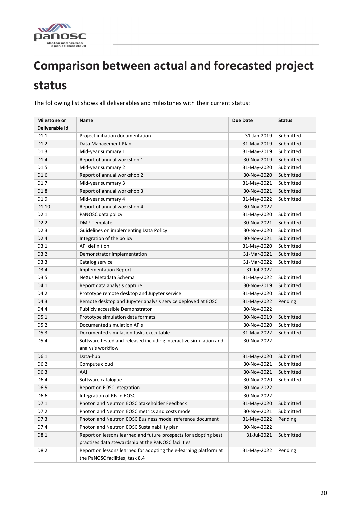

# **Comparison between actual and forecasted project**

## **status**

The following list shows all deliverables and milestones with their current status:

| <b>Milestone or</b><br>Deliverable Id | <b>Name</b>                                                                                                             | Due Date    | <b>Status</b> |
|---------------------------------------|-------------------------------------------------------------------------------------------------------------------------|-------------|---------------|
| D1.1                                  | Project initiation documentation                                                                                        | 31-Jan-2019 | Submitted     |
| D1.2                                  | Data Management Plan                                                                                                    | 31-May-2019 | Submitted     |
| D1.3                                  | Mid-year summary 1                                                                                                      | 31-May-2019 | Submitted     |
| D1.4                                  | Report of annual workshop 1                                                                                             | 30-Nov-2019 | Submitted     |
| D1.5                                  | Mid-year summary 2                                                                                                      | 31-May-2020 | Submitted     |
| D1.6                                  | Report of annual workshop 2                                                                                             | 30-Nov-2020 | Submitted     |
| D1.7                                  | Mid-year summary 3                                                                                                      | 31-May-2021 | Submitted     |
| D1.8                                  | Report of annual workshop 3                                                                                             | 30-Nov-2021 | Submitted     |
| D1.9                                  | Mid-year summary 4                                                                                                      | 31-May-2022 | Submitted     |
| D1.10                                 | Report of annual workshop 4                                                                                             | 30-Nov-2022 |               |
| D <sub>2.1</sub>                      | PaNOSC data policy                                                                                                      | 31-May-2020 | Submitted     |
| D <sub>2.2</sub>                      | <b>DMP Template</b>                                                                                                     | 30-Nov-2021 | Submitted     |
| D <sub>2.3</sub>                      | Guidelines on implementing Data Policy                                                                                  | 30-Nov-2020 | Submitted     |
| D <sub>2.4</sub>                      | Integration of the policy                                                                                               | 30-Nov-2021 | Submitted     |
| D3.1                                  | API definition                                                                                                          | 31-May-2020 | Submitted     |
| D3.2                                  | Demonstrator implementation                                                                                             | 31-Mar-2021 | Submitted     |
| D3.3                                  | Catalog service                                                                                                         | 31-Mar-2022 | Submitted     |
| D3.4                                  | <b>Implementation Report</b>                                                                                            | 31-Jul-2022 |               |
| D3.5                                  | NeXus Metadata Schema                                                                                                   | 31-May-2022 | Submitted     |
| D4.1                                  | Report data analysis capture                                                                                            | 30-Nov-2019 | Submitted     |
| D4.2                                  | Prototype remote desktop and Jupyter service                                                                            | 31-May-2020 | Submitted     |
| D4.3                                  | Remote desktop and Jupyter analysis service deployed at EOSC                                                            | 31-May-2022 | Pending       |
| D4.4                                  | Publicly accessible Demonstrator                                                                                        | 30-Nov-2022 |               |
| D5.1                                  | Prototype simulation data formats                                                                                       | 30-Nov-2019 | Submitted     |
| D5.2                                  | Documented simulation APIs                                                                                              | 30-Nov-2020 | Submitted     |
| D5.3                                  | Documented simulation tasks executable                                                                                  | 31-May-2022 | Submitted     |
| D5.4                                  | Software tested and released including interactive simulation and<br>analysis workflow                                  | 30-Nov-2022 |               |
| D6.1                                  | Data-hub                                                                                                                | 31-May-2020 | Submitted     |
| D6.2                                  | Compute cloud                                                                                                           | 30-Nov-2021 | Submitted     |
| D6.3                                  | AAI                                                                                                                     | 30-Nov-2021 | Submitted     |
| D6.4                                  | Software catalogue                                                                                                      | 30-Nov-2020 | Submitted     |
| D6.5                                  | Report on EOSC integration                                                                                              | 30-Nov-2022 |               |
| D6.6                                  | Integration of RIs in EOSC                                                                                              | 30-Nov-2022 |               |
| D7.1                                  | Photon and Neutron EOSC Stakeholder Feedback                                                                            | 31-May-2020 | Submitted     |
| D7.2                                  | Photon and Neutron EOSC metrics and costs model                                                                         | 30-Nov-2021 | Submitted     |
| D7.3                                  | Photon and Neutron EOSC Business model reference document                                                               | 31-May-2022 | Pending       |
| D7.4                                  | Photon and Neutron EOSC Sustainability plan                                                                             | 30-Nov-2022 |               |
| D8.1                                  | Report on lessons learned and future prospects for adopting best<br>practises data stewardship at the PaNOSC facilities | 31-Jul-2021 | Submitted     |
| D8.2                                  | Report on lessons learned for adopting the e-learning platform at<br>the PaNOSC facilities, task 8.4                    | 31-May-2022 | Pending       |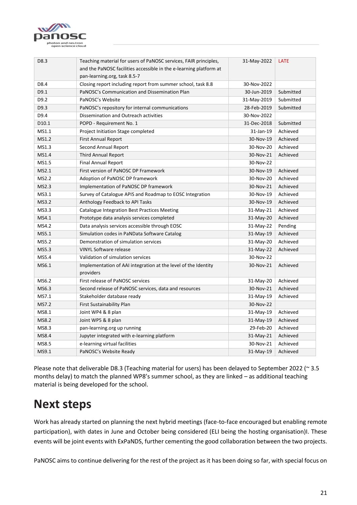

| D8.3  | Teaching material for users of PaNOSC services, FAIR principles,            | 31-May-2022 | <b>LATE</b> |
|-------|-----------------------------------------------------------------------------|-------------|-------------|
|       | and the PaNOSC facilities accessible in the e-learning platform at          |             |             |
|       | pan-learning.org, task 8.5-7                                                |             |             |
| D8.4  | Closing report including report from summer school, task 8.8                | 30-Nov-2022 |             |
| D9.1  | PaNOSC's Communication and Dissemination Plan                               | 30-Jun-2019 | Submitted   |
| D9.2  | PaNOSC's Website                                                            | 31-May-2019 | Submitted   |
| D9.3  | PaNOSC's repository for internal communications                             | 28-Feb-2019 | Submitted   |
| D9.4  | Dissemination and Outreach activities                                       | 30-Nov-2022 |             |
| D10.1 | POPD - Requirement No. 1                                                    | 31-Dec-2018 | Submitted   |
| MS1.1 | Project Initiation Stage completed                                          | 31-Jan-19   | Achieved    |
| MS1.2 | <b>First Annual Report</b>                                                  | 30-Nov-19   | Achieved    |
| MS1.3 | Second Annual Report                                                        | 30-Nov-20   | Achieved    |
| MS1.4 | Third Annual Report                                                         | 30-Nov-21   | Achieved    |
| MS1.5 | <b>Final Annual Report</b>                                                  | 30-Nov-22   |             |
| MS2.1 | First version of PaNOSC DP Framework                                        | 30-Nov-19   | Achieved    |
| MS2.2 | Adoption of PaNOSC DP framework                                             | 30-Nov-20   | Achieved    |
| MS2.3 | Implementation of PaNOSC DP framework                                       | 30-Nov-21   | Achieved    |
| MS3.1 | Survey of Catalogue APIS and Roadmap to EOSC Integration                    | 30-Nov-19   | Achieved    |
| MS3.2 | Anthology Feedback to API Tasks                                             | 30-Nov-19   | Achieved    |
| MS3.3 | <b>Catalogue Integration Best Practices Meeting</b>                         | 31-May-21   | Achieved    |
| MS4.1 | Prototype data analysis services completed                                  | 31-May-20   | Achieved    |
| MS4.2 | Data analysis services accessible through EOSC                              | 31-May-22   | Pending     |
| MS5.1 | Simulation codes in PaNData Software Catalog                                | 31-May-19   | Achieved    |
| MS5.2 | Demonstration of simulation services                                        | 31-May-20   | Achieved    |
| MS5.3 | <b>VINYL Software release</b>                                               | 31-May-22   | Achieved    |
| MS5.4 | Validation of simulation services                                           | 30-Nov-22   |             |
| MS6.1 | Implementation of AAI integration at the level of the Identity<br>providers | 30-Nov-21   | Achieved    |
| MS6.2 | First release of PaNOSC services                                            | 31-May-20   | Achieved    |
| MS6.3 | Second release of PaNOSC services, data and resources                       | 30-Nov-21   | Achieved    |
| MS7.1 | Stakeholder database ready                                                  | 31-May-19   | Achieved    |
| MS7.2 | First Sustainability Plan                                                   | 30-Nov-22   |             |
| MS8.1 | Joint WP4 & 8 plan                                                          | 31-May-19   | Achieved    |
| MS8.2 | Joint WP5 & 8 plan                                                          | 31-May-19   | Achieved    |
| MS8.3 | pan-learning.org up running                                                 | 29-Feb-20   | Achieved    |
| MS8.4 | Jupyter integrated with e-learning platform                                 | 31-May-21   | Achieved    |
| MS8.5 | e-learning virtual facilities                                               | 30-Nov-21   | Achieved    |
| MS9.1 | PaNOSC's Website Ready                                                      | 31-May-19   | Achieved    |

Please note that deliverable D8.3 (Teaching material for users) has been delayed to September 2022 (~ 3.5 months delay) to match the planned WP8's summer school, as they are linked – as additional teaching material is being developed for the school.

## <span id="page-20-0"></span>**Next steps**

Work has already started on planning the next hybrid meetings (face-to-face encouraged but enabling remote participation), with dates in June and October being considered (ELI being the hosting organisation)I. These events will be joint events with ExPaNDS, further cementing the good collaboration between the two projects.

PaNOSC aims to continue delivering for the rest of the project as it has been doing so far, with special focus on